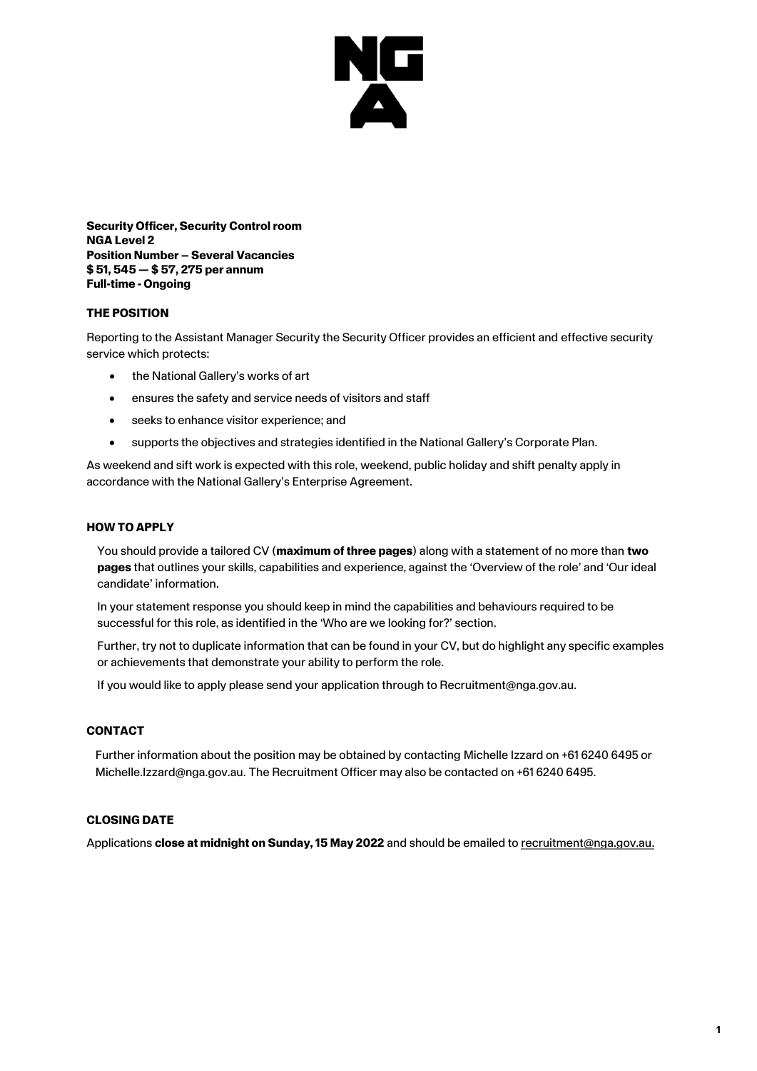

**Security Officer, Security Control room NGA Level 2 Position Number – Several Vacancies \$ 51, 545 — \$ 57, 275 per annum Full-time - Ongoing**

## **THE POSITION**

Reporting to the Assistant Manager Security the Security Officer provides an efficient and effective security service which protects:

- the National Gallery's works of art
- ensures the safety and service needs of visitors and staff
- seeks to enhance visitor experience; and
- supports the objectives and strategies identified in the National Gallery's Corporate Plan.

As weekend and sift work is expected with this role, weekend, public holiday and shift penalty apply in accordance with the National Gallery's Enterprise Agreement.

#### **HOW TO APPLY**

You should provide a tailored CV (**maximum of three pages**) along with a statement of no more than **two pages** that outlines your skills, capabilities and experience, against the 'Overview of the role' and 'Our ideal candidate' information.

In your statement response you should keep in mind the capabilities and behaviours required to be successful for this role, as identified in the 'Who are we looking for?' section.

Further, try not to duplicate information that can be found in your CV, but do highlight any specific examples or achievements that demonstrate your ability to perform the role.

If you would like to apply please send your application through to Recruitment@nga.gov.au.

#### **CONTACT**

Further information about the position may be obtained by contacting Michelle Izzard on +61 6240 6495 or Michelle.Izzard@nga.gov.au. The Recruitment Officer may also be contacted on +61 6240 6495.

### **CLOSING DATE**

Applications **close at midnight on Sunday, 15 May 2022** and should be emailed to [recruitment@nga.gov.au.](mailto:recruitment@nga.gov.au)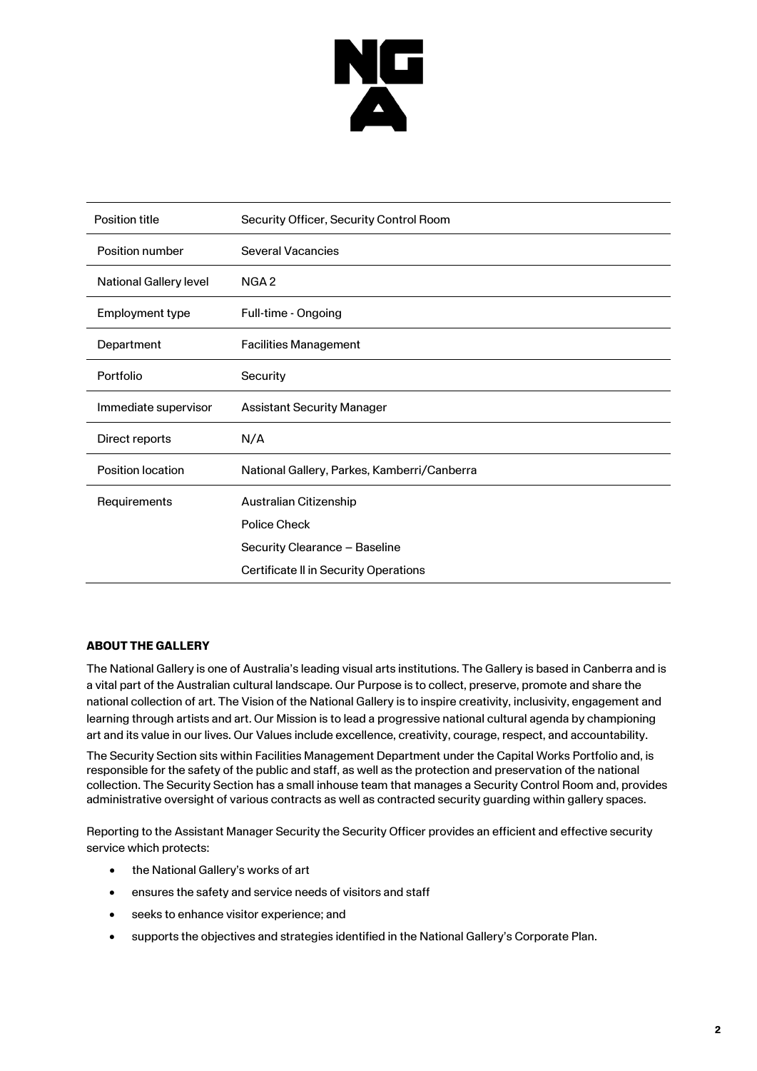

| <b>Position title</b>         | Security Officer, Security Control Room     |
|-------------------------------|---------------------------------------------|
| Position number               | <b>Several Vacancies</b>                    |
| <b>National Gallery level</b> | NGA <sub>2</sub>                            |
| Employment type               | Full-time - Ongoing                         |
| Department                    | <b>Facilities Management</b>                |
| Portfolio                     | Security                                    |
| Immediate supervisor          | <b>Assistant Security Manager</b>           |
| Direct reports                | N/A                                         |
| <b>Position location</b>      | National Gallery, Parkes, Kamberri/Canberra |
| Requirements                  | Australian Citizenship                      |
|                               | Police Check                                |
|                               | Security Clearance - Baseline               |
|                               | Certificate II in Security Operations       |

# **ABOUT THE GALLERY**

The National Gallery is one of Australia's leading visual arts institutions. The Gallery is based in Canberra and is a vital part of the Australian cultural landscape. Our Purpose is to collect, preserve, promote and share the national collection of art. The Vision of the National Gallery is to inspire creativity, inclusivity, engagement and learning through artists and art. Our Mission is to lead a progressive national cultural agenda by championing art and its value in our lives. Our Values include excellence, creativity, courage, respect, and accountability.

The Security Section sits within Facilities Management Department under the Capital Works Portfolio and, is responsible for the safety of the public and staff, as well as the protection and preservation of the national collection. The Security Section has a small inhouse team that manages a Security Control Room and, provides administrative oversight of various contracts as well as contracted security guarding within gallery spaces.

Reporting to the Assistant Manager Security the Security Officer provides an efficient and effective security service which protects:

- the National Gallery's works of art
- ensures the safety and service needs of visitors and staff
- seeks to enhance visitor experience; and
- supports the objectives and strategies identified in the National Gallery's Corporate Plan.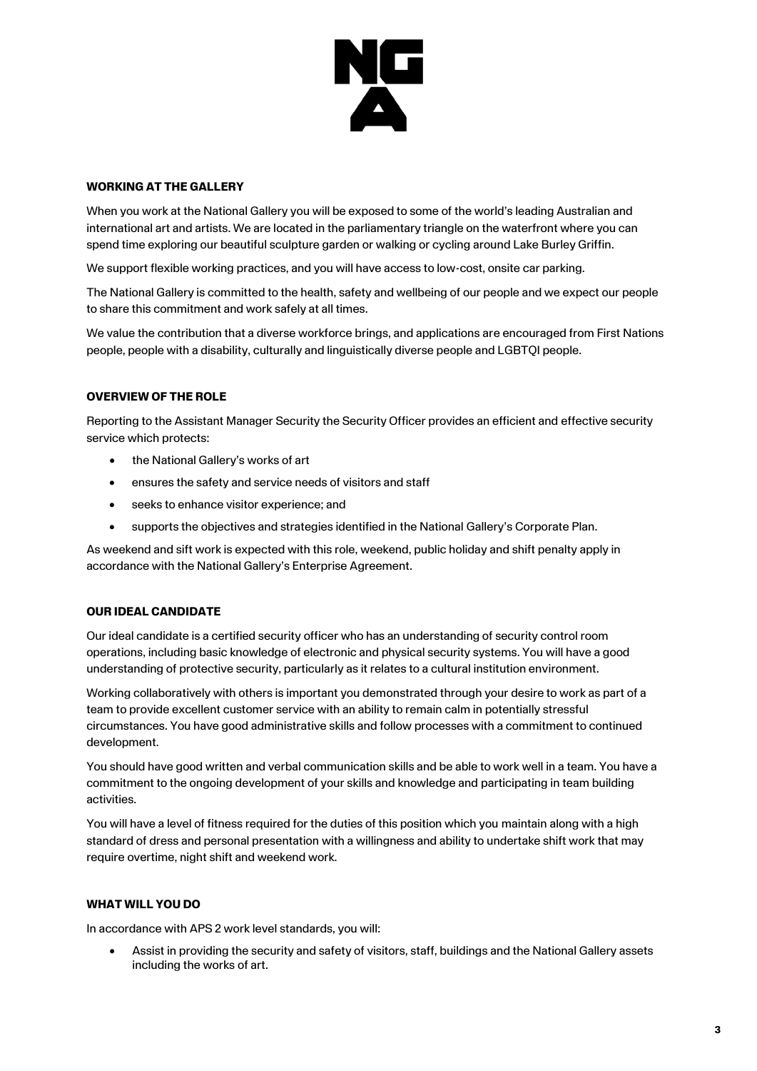

### **WORKING AT THE GALLERY**

When you work at the National Gallery you will be exposed to some of the world's leading Australian and international art and artists. We are located in the parliamentary triangle on the waterfront where you can spend time exploring our beautiful sculpture garden or walking or cycling around Lake Burley Griffin.

We support flexible working practices, and you will have access to low-cost, onsite car parking.

The National Gallery is committed to the health, safety and wellbeing of our people and we expect our people to share this commitment and work safely at all times.

We value the contribution that a diverse workforce brings, and applications are encouraged from First Nations people, people with a disability, culturally and linguistically diverse people and LGBTQI people.

## **OVERVIEW OF THE ROLE**

Reporting to the Assistant Manager Security the Security Officer provides an efficient and effective security service which protects:

- the National Gallery's works of art
- ensures the safety and service needs of visitors and staff
- seeks to enhance visitor experience; and
- supports the objectives and strategies identified in the National Gallery's Corporate Plan.

As weekend and sift work is expected with this role, weekend, public holiday and shift penalty apply in accordance with the National Gallery's Enterprise Agreement.

#### **OUR IDEAL CANDIDATE**

Our ideal candidate is a certified security officer who has an understanding of security control room operations, including basic knowledge of electronic and physical security systems. You will have a good understanding of protective security, particularly as it relates to a cultural institution environment.

Working collaboratively with others is important you demonstrated through your desire to work as part of a team to provide excellent customer service with an ability to remain calm in potentially stressful circumstances. You have good administrative skills and follow processes with a commitment to continued development.

You should have good written and verbal communication skills and be able to work well in a team. You have a commitment to the ongoing development of your skills and knowledge and participating in team building activities.

You will have a level of fitness required for the duties of this position which you maintain along with a high standard of dress and personal presentation with a willingness and ability to undertake shift work that may require overtime, night shift and weekend work.

#### **WHAT WILL YOU DO**

In accordance with APS 2 work level standards, you will:

• Assist in providing the security and safety of visitors, staff, buildings and the National Gallery assets including the works of art.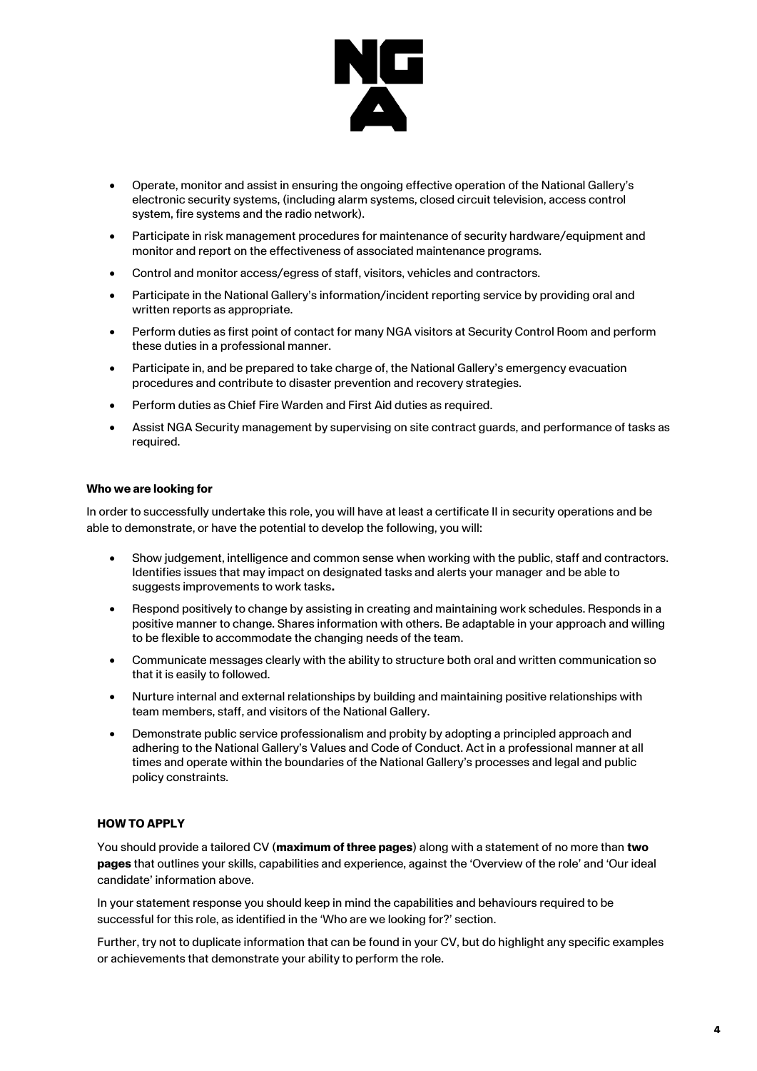

- Operate, monitor and assist in ensuring the ongoing effective operation of the National Gallery's electronic security systems, (including alarm systems, closed circuit television, access control system, fire systems and the radio network).
- Participate in risk management procedures for maintenance of security hardware/equipment and monitor and report on the effectiveness of associated maintenance programs.
- Control and monitor access/egress of staff, visitors, vehicles and contractors.
- Participate in the National Gallery's information/incident reporting service by providing oral and written reports as appropriate.
- Perform duties as first point of contact for many NGA visitors at Security Control Room and perform these duties in a professional manner.
- Participate in, and be prepared to take charge of, the National Gallery's emergency evacuation procedures and contribute to disaster prevention and recovery strategies.
- Perform duties as Chief Fire Warden and First Aid duties as required.
- Assist NGA Security management by supervising on site contract guards, and performance of tasks as required.

#### **Who we are looking for**

In order to successfully undertake this role, you will have at least a certificate II in security operations and be able to demonstrate, or have the potential to develop the following, you will:

- Show judgement, intelligence and common sense when working with the public, staff and contractors. Identifies issues that may impact on designated tasks and alerts your manager and be able to suggests improvements to work tasks**.**
- Respond positively to change by assisting in creating and maintaining work schedules. Responds in a positive manner to change. Shares information with others. Be adaptable in your approach and willing to be flexible to accommodate the changing needs of the team.
- Communicate messages clearly with the ability to structure both oral and written communication so that it is easily to followed.
- Nurture internal and external relationships by building and maintaining positive relationships with team members, staff, and visitors of the National Gallery.
- Demonstrate public service professionalism and probity by adopting a principled approach and adhering to the National Gallery's Values and Code of Conduct. Act in a professional manner at all times and operate within the boundaries of the National Gallery's processes and legal and public policy constraints.

#### **HOW TO APPLY**

You should provide a tailored CV (**maximum of three pages**) along with a statement of no more than **two pages** that outlines your skills, capabilities and experience, against the 'Overview of the role' and 'Our ideal candidate' information above.

In your statement response you should keep in mind the capabilities and behaviours required to be successful for this role, as identified in the 'Who are we looking for?' section.

Further, try not to duplicate information that can be found in your CV, but do highlight any specific examples or achievements that demonstrate your ability to perform the role.